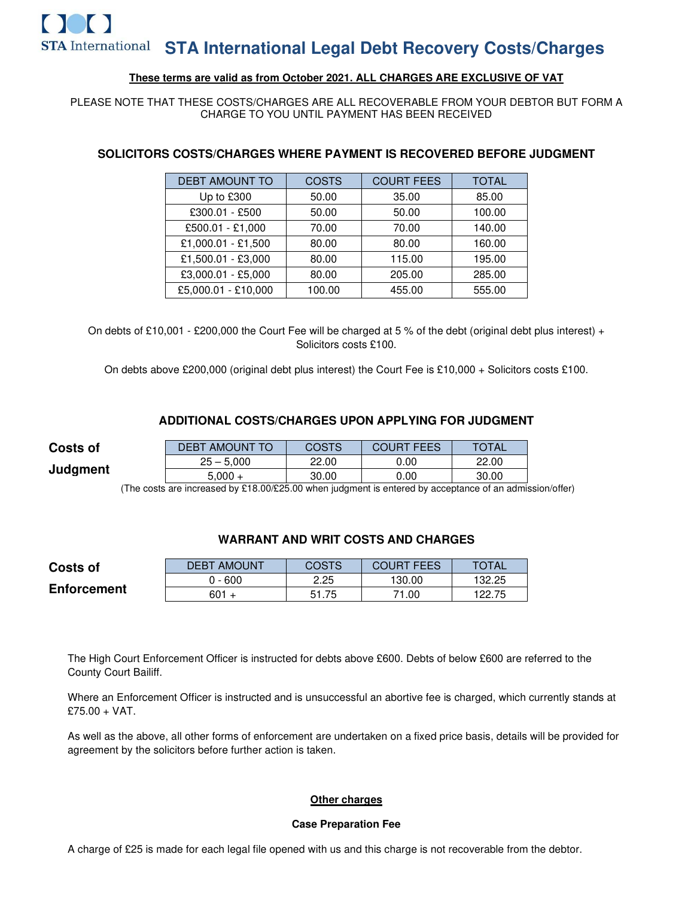# **These terms are valid as from October 2021. ALL CHARGES ARE EXCLUSIVE OF VAT**

### PLEASE NOTE THAT THESE COSTS/CHARGES ARE ALL RECOVERABLE FROM YOUR DEBTOR BUT FORM A CHARGE TO YOU UNTIL PAYMENT HAS BEEN RECEIVED

| <b>DEBT AMOUNT TO</b> | COSTS  | <b>COURT FEES</b> | TOTAL  |
|-----------------------|--------|-------------------|--------|
| Up to £300            | 50.00  | 35.00             | 85.00  |
| £300.01 - £500        | 50.00  | 50.00             | 100.00 |
| £500.01 - £1,000      | 70.00  | 70.00             | 140.00 |
| £1,000.01 - £1,500    | 80.00  | 80.00             | 160.00 |
| £1,500.01 - £3,000    | 80.00  | 115.00            | 195.00 |
| £3,000.01 - £5,000    | 80.00  | 205.00            | 285.00 |
| £5,000.01 - £10,000   | 100.00 | 455.00            | 555.00 |

# **SOLICITORS COSTS/CHARGES WHERE PAYMENT IS RECOVERED BEFORE JUDGMENT**

On debts of £10,001 - £200,000 the Court Fee will be charged at 5 % of the debt (original debt plus interest) + Solicitors costs £100.

On debts above £200,000 (original debt plus interest) the Court Fee is £10,000 + Solicitors costs £100.

# **ADDITIONAL COSTS/CHARGES UPON APPLYING FOR JUDGMENT**

| <b>Costs of</b> | <b>DEBT AMOUNT TO</b> | <b>COSTS</b> | <b>COURT FEES</b> | <b>TOTAL</b> |
|-----------------|-----------------------|--------------|-------------------|--------------|
| Judgment        | $25 - 5.000$          | 22.00        | 0.00              | 22.00        |
|                 | $5.000 +$             | 30.00        | 0.00              | 30.00        |

(The costs are increased by £18.00/£25.00 when judgment is entered by acceptance of an admission/offer)

# **WARRANT AND WRIT COSTS AND CHARGES**

| <b>Costs of</b>    | AMOUNT<br><b>DEBT</b> | COSTS | <b>COURT FEES</b> | <b>TOTAL</b> |
|--------------------|-----------------------|-------|-------------------|--------------|
|                    | $0 - 600$             | 2.25  | 130.00            | 132.25       |
| <b>Enforcement</b> | $601 +$               | 51.75 | 71.00             | 122.75       |

The High Court Enforcement Officer is instructed for debts above £600. Debts of below £600 are referred to the County Court Bailiff.

Where an Enforcement Officer is instructed and is unsuccessful an abortive fee is charged, which currently stands at £75.00 + VAT.

As well as the above, all other forms of enforcement are undertaken on a fixed price basis, details will be provided for agreement by the solicitors before further action is taken.

#### **Other charges**

#### **Case Preparation Fee**

A charge of £25 is made for each legal file opened with us and this charge is not recoverable from the debtor.